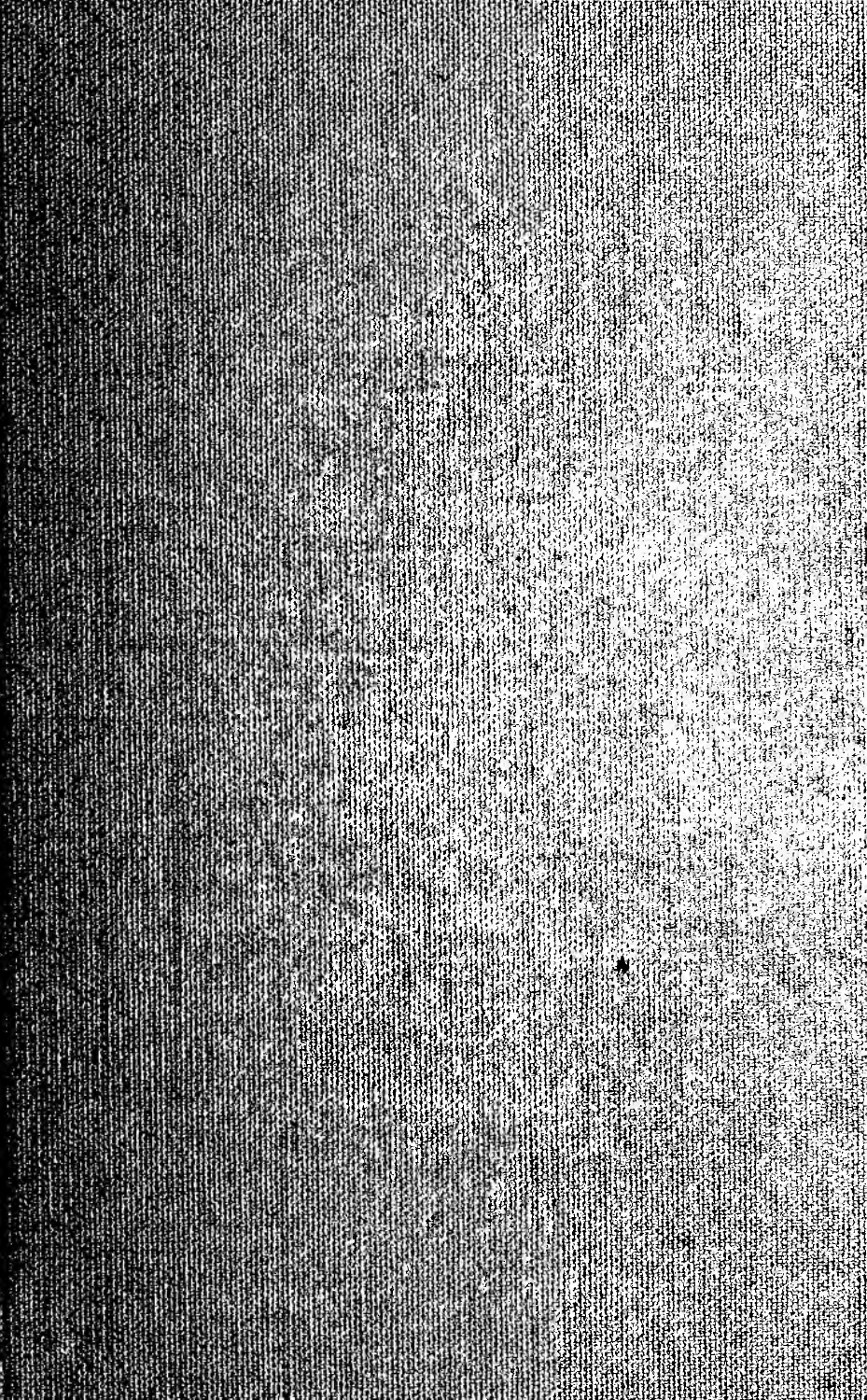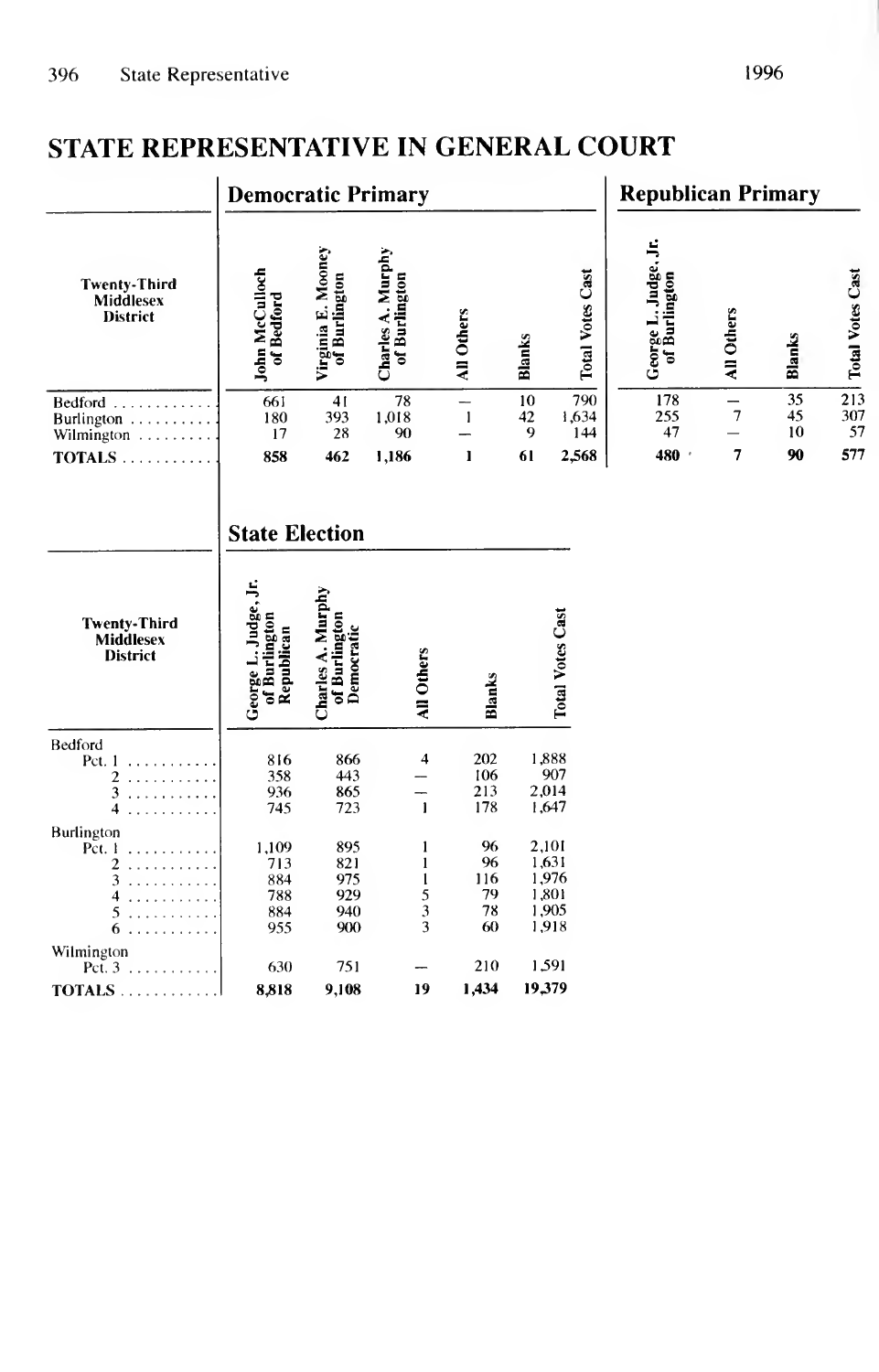|                                                                                   | <b>Democratic Primary</b>                           |                                                  |                                    |                                   | <b>Republican Primary</b>                          |                         |                                       |                                                 |                |                                      |
|-----------------------------------------------------------------------------------|-----------------------------------------------------|--------------------------------------------------|------------------------------------|-----------------------------------|----------------------------------------------------|-------------------------|---------------------------------------|-------------------------------------------------|----------------|--------------------------------------|
| <b>Twenty-Third</b><br>Middlesex<br><b>District</b>                               | <b>John McCulloch</b><br>of Bedford                 | Virginia E. Mooney<br>of Burlington              | Charles A. Murphy<br>of Burlington | All Others                        | Blanks                                             | <b>Total Votes Cast</b> | George L. Judge, Jr.<br>of Burlington | <b>All Others</b>                               | Blanks         | <b>Total Votes Cast</b>              |
| Bedford<br>Burlington<br>Wilmington                                               | 661<br>180<br>17                                    | 41<br>393<br>28                                  | 78<br>1,018<br>90                  | -<br>$\mathbf{1}$                 | 10<br>42<br>9                                      | 790<br>1,634<br>144     | 178<br>255<br>47                      | —<br>$\overline{7}$<br>$\overline{\phantom{0}}$ | 35<br>45<br>10 | $\overline{213}$<br>$\frac{307}{57}$ |
| TOTALS                                                                            | 858                                                 | 462                                              | 1,186                              | 1                                 | 61                                                 | 2,568                   | 480                                   | $\overline{7}$                                  | 90             | 577                                  |
|                                                                                   | <b>State Election</b>                               |                                                  |                                    |                                   |                                                    |                         |                                       |                                                 |                |                                      |
| <b>Twenty-Third</b><br>Middlesex<br><b>District</b>                               | George L. Judge, Jr.<br>of Burlington<br>Republican | Charles A. Murphy<br>of Burlington<br>Democratic | All Others                         | <b>Blanks</b>                     | <b>Total Votes Cast</b>                            |                         |                                       |                                                 |                |                                      |
| Bedford<br>Pct. 1<br>2<br>3<br>$\overline{\mathbf{4}}$<br>1.1.1.1.1.1             | 816<br>358<br>936<br>745                            | 866<br>443<br>865<br>723                         | $\overline{4}$<br>$\mathbf{1}$     | 202<br>106<br>213<br>178          | 1.888<br>907<br>2,014<br>1,647                     |                         |                                       |                                                 |                |                                      |
| Burlington<br>Pct. $1$ ,<br>$\overline{\mathbf{c}}$<br>3<br>4<br>5<br>6<br>$\sim$ | 1,109<br>713<br>884<br>788<br>884<br>955            | 895<br>821<br>975<br>929<br>940<br>900           | 1<br>1<br>1<br>5<br>3<br>3         | 96<br>96<br>116<br>79<br>78<br>60 | 2.101<br>1.631<br>1,976<br>1,801<br>1,905<br>1.918 |                         |                                       |                                                 |                |                                      |
| Wilmington<br>Pct. $3$<br>TOTALS                                                  | 630<br>8,818                                        | 751<br>9,108                                     | 19                                 | 210<br>1,434                      | 1,591<br>19,379                                    |                         |                                       |                                                 |                |                                      |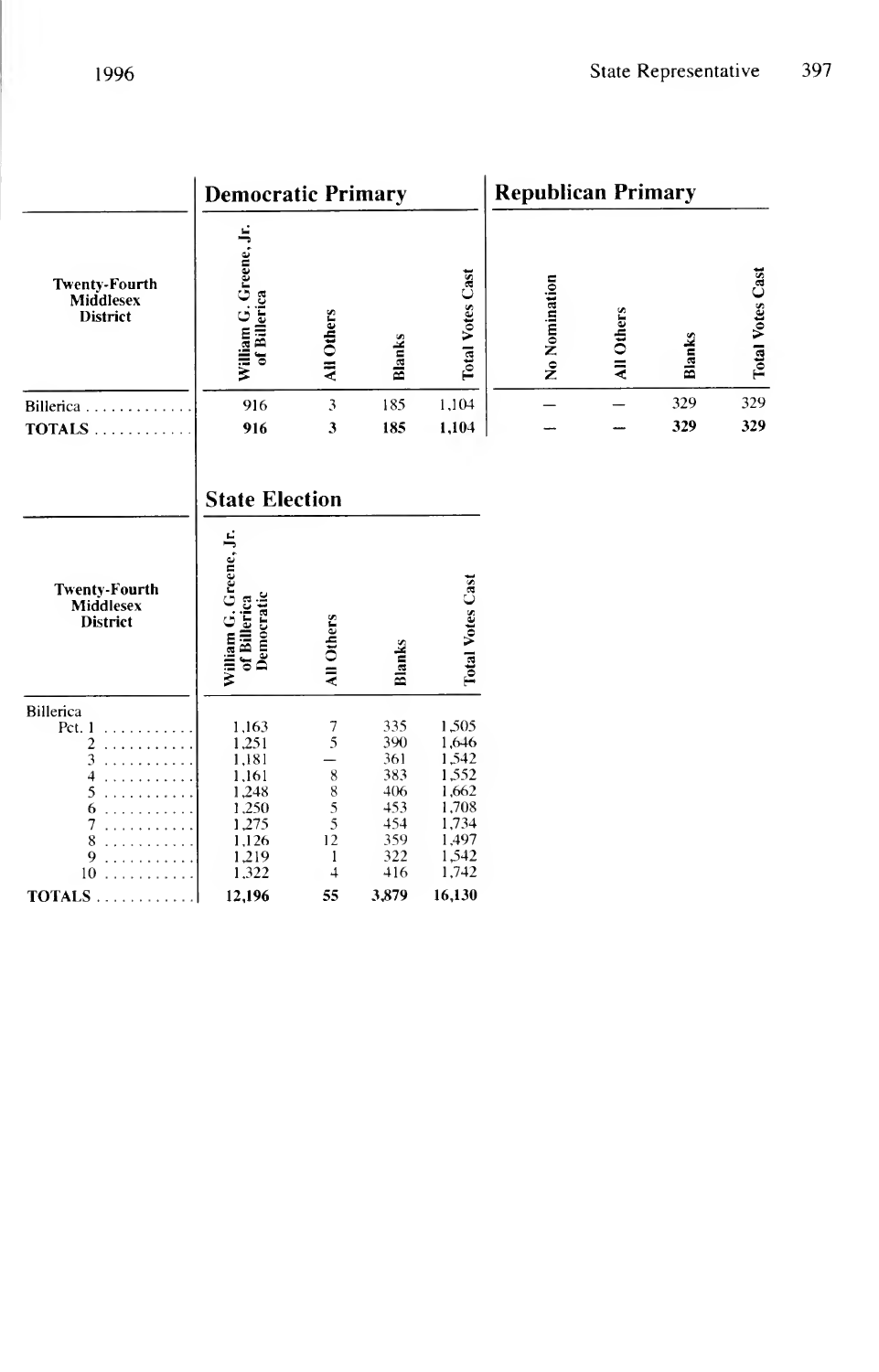|                                                                   | <b>Democratic Primary</b>                                                                        |                                                  |                                                                             |                                                                                                  | <b>Republican Primary</b> |                   |               |                         |
|-------------------------------------------------------------------|--------------------------------------------------------------------------------------------------|--------------------------------------------------|-----------------------------------------------------------------------------|--------------------------------------------------------------------------------------------------|---------------------------|-------------------|---------------|-------------------------|
| <b>Twenty-Fourth</b><br>Middlesex<br><b>District</b>              | William G. Greene, Jr.<br>of Billerica                                                           | All Others                                       | Blanks                                                                      | <b>Total Votes Cast</b>                                                                          | No Nomination             | <b>All Others</b> | <b>Blanks</b> | <b>Total Votes Cast</b> |
| Billerica                                                         | 916                                                                                              | 3                                                | 185                                                                         | 1,104                                                                                            |                           |                   | 329           | 329                     |
| TOTALS                                                            | 916                                                                                              | 3                                                | 185                                                                         | 1,104                                                                                            |                           |                   | 329           | 329                     |
| <b>Twenty-Fourth</b><br>Middlesex<br><b>District</b>              | <b>State Election</b><br>William G. Greene, Jr.<br>Democratic<br>of Billerica                    | All Others                                       | Blanks                                                                      | <b>Total Votes Cast</b>                                                                          |                           |                   |               |                         |
| Billerica<br>Pct. 1<br>2<br>3<br>5<br>6<br>8<br>9<br>10<br>TOTALS | 1,163<br>1,251<br>1,181<br>1,161<br>1,248<br>1,250<br>1,275<br>1,126<br>1,219<br>1,322<br>12,196 | 7<br>5<br>8<br>8<br>5<br>5<br>12<br>1<br>4<br>55 | 335<br>390<br>361<br>383<br>406<br>453<br>454<br>359<br>322<br>416<br>3,879 | 1,505<br>1,646<br>1,542<br>1.552<br>1,662<br>1,708<br>1,734<br>1,497<br>1,542<br>1,742<br>16,130 |                           |                   |               |                         |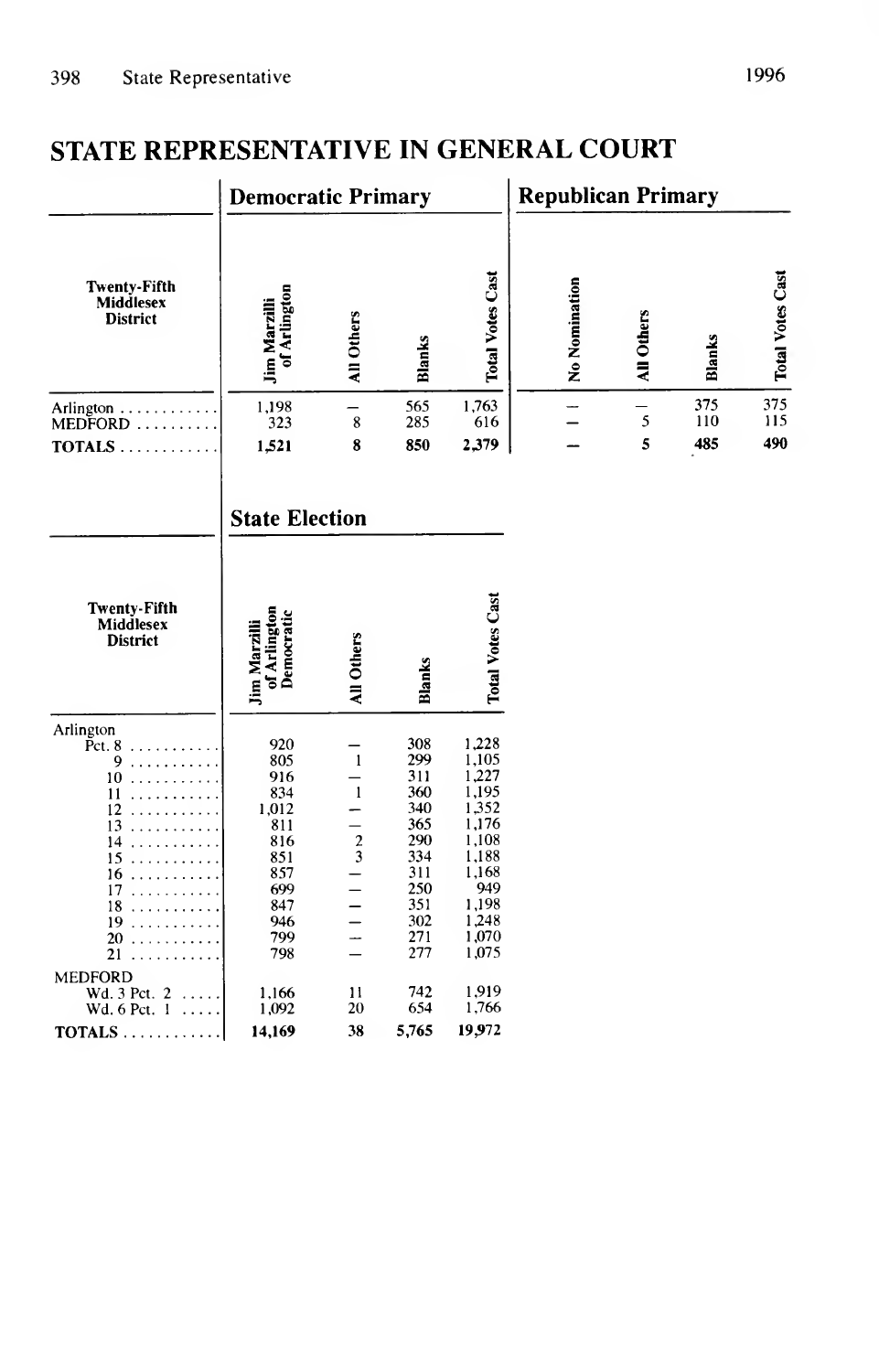|                                                                                                                                                                                                                                                                                                       | <b>Democratic Primary</b>                                                                                                    |                                                                                                                               |                                                                                                                       |                                                                                                                                                      | <b>Republican Primary</b> |            |                   |                         |  |  |
|-------------------------------------------------------------------------------------------------------------------------------------------------------------------------------------------------------------------------------------------------------------------------------------------------------|------------------------------------------------------------------------------------------------------------------------------|-------------------------------------------------------------------------------------------------------------------------------|-----------------------------------------------------------------------------------------------------------------------|------------------------------------------------------------------------------------------------------------------------------------------------------|---------------------------|------------|-------------------|-------------------------|--|--|
| Twenty-Fifth<br>Middlesex<br><b>District</b>                                                                                                                                                                                                                                                          | of Arlington<br><b>Jim Marzilli</b>                                                                                          | All Others                                                                                                                    | <b>Blanks</b>                                                                                                         | <b>Total Votes Cast</b>                                                                                                                              | No Nomination             | All Others | Blanks            | <b>Total Votes Cast</b> |  |  |
| Arlington<br>MEDFORD<br>.<br>TOTALS                                                                                                                                                                                                                                                                   | 1,198<br>323<br>1,521                                                                                                        | 8<br>8                                                                                                                        | 565<br>285<br>850                                                                                                     | 1,763<br>616<br>2,379                                                                                                                                |                           | 5<br>5     | 375<br>110<br>485 | 375<br>115<br>490       |  |  |
|                                                                                                                                                                                                                                                                                                       | <b>State Election</b>                                                                                                        |                                                                                                                               |                                                                                                                       |                                                                                                                                                      |                           |            |                   |                         |  |  |
| <b>Twenty-Fifth</b><br>Middlesex<br><b>District</b>                                                                                                                                                                                                                                                   | of Arlington<br>Democratic<br><b>Jim Marzilli</b>                                                                            | All Others                                                                                                                    | Blanks                                                                                                                | <b>Total Votes Cast</b>                                                                                                                              |                           |            |                   |                         |  |  |
| Arlington<br>Pct. $8 \ldots \ldots$<br>9<br>and a state and a<br>10<br>.<br>11<br>12<br>1.1.1.1.1.1.1<br>13<br>.<br>14<br>.<br>15<br>.<br>16<br>1.1.1.1.1.1.1<br>17<br>.<br>18<br>.<br>19<br>.<br>20<br>.<br>21<br><b>MEDFORD</b><br>Wd. 3 Pct. 2<br>$\ldots$<br>Wd. 6 Pct. 1<br>$\cdots$ .<br>TOTALS | 920<br>805<br>916<br>834<br>1,012<br>811<br>816<br>851<br>857<br>699<br>847<br>946<br>799<br>798<br>1,166<br>1,092<br>14,169 | $\mathbf{1}$<br>$\mathbf{1}$<br>$\frac{1}{3}$<br>$\overline{\phantom{0}}$<br>÷,<br>$\overline{\phantom{0}}$<br>11<br>20<br>38 | 308<br>299<br>311<br>360<br>340<br>365<br>290<br>334<br>311<br>250<br>351<br>302<br>271<br>277<br>742<br>654<br>5,765 | 1,228<br>1,105<br>1,227<br>1,195<br>1,352<br>1,176<br>1,108<br>1,188<br>1,168<br>949<br>1,198<br>1,248<br>1,070<br>1,075<br>1,919<br>1,766<br>19,972 |                           |            |                   |                         |  |  |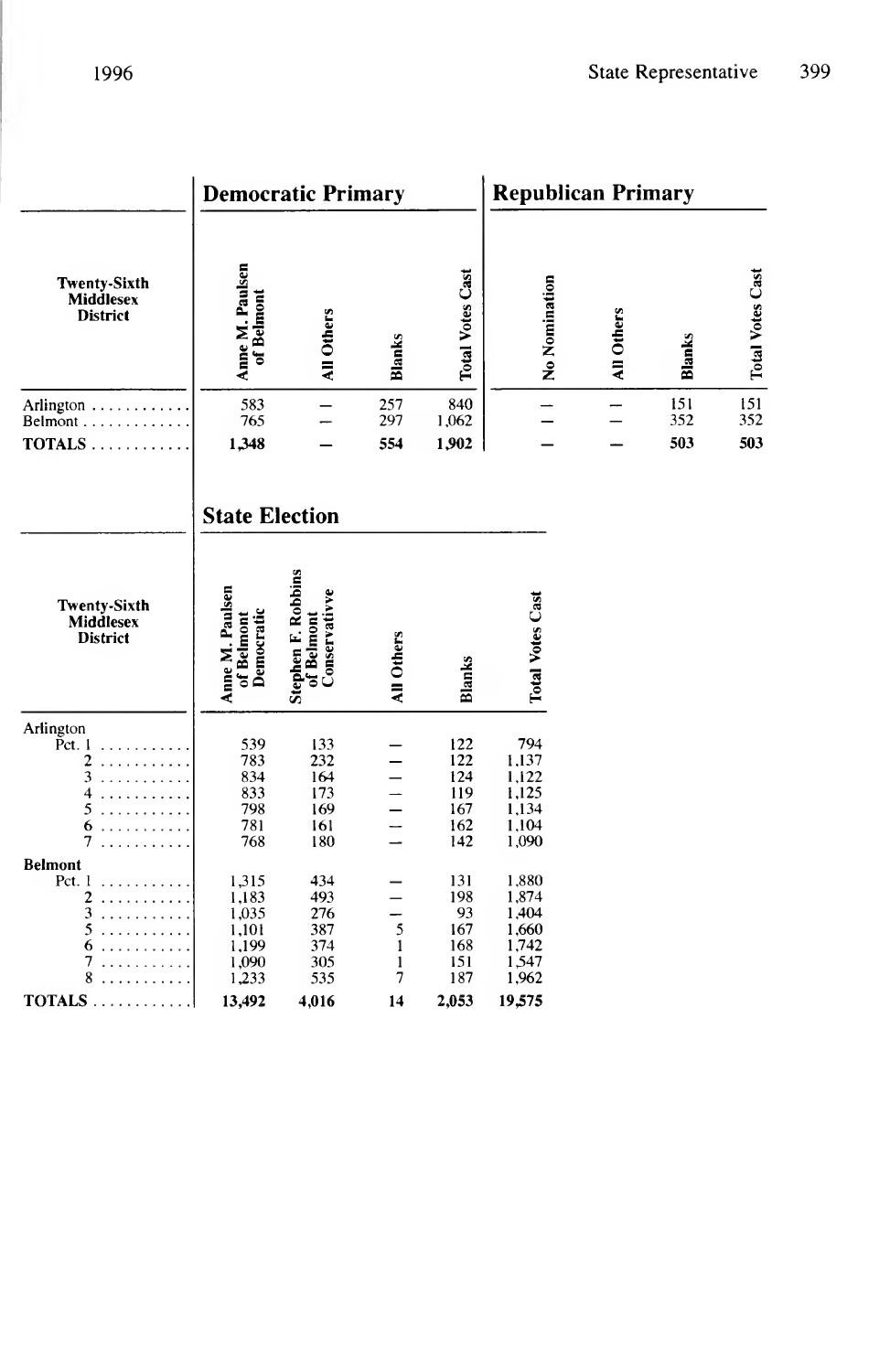|                                                                       |                                                          |                                             |                                                       | <b>Republican Primary</b>                                             |            |          |                         |  |
|-----------------------------------------------------------------------|----------------------------------------------------------|---------------------------------------------|-------------------------------------------------------|-----------------------------------------------------------------------|------------|----------|-------------------------|--|
| Anne M. Paulsen<br>of Belmont                                         | <b>All Others</b>                                        | <b>Blanks</b>                               | <b>Total Votes Cast</b>                               | No Nomination                                                         | All Others | Blanks   | <b>Total Votes Cast</b> |  |
| 583                                                                   |                                                          | 257                                         | 840                                                   |                                                                       |            | 151      | 151<br>352              |  |
| 1,348                                                                 |                                                          | 554                                         | 1,902                                                 |                                                                       |            | 503      | 503                     |  |
|                                                                       |                                                          |                                             |                                                       |                                                                       |            |          |                         |  |
| Anne M. Paulsen<br>Democratic<br>of Belmont                           | <b>Stephen F. Robbins</b><br>Conservativve<br>of Belmont | <b>All Others</b>                           | Blanks                                                | <b>Total Votes Cast</b>                                               |            |          |                         |  |
| 539<br>783<br>834<br>833<br>798<br>781<br>768                         | 133<br>232<br>164<br>173<br>169<br>161<br>180            |                                             | 122<br>122<br>124<br>119<br>167<br>162<br>142         | 794<br>1,137<br>1,122<br>1,125<br>1.134<br>1,104<br>1,090             |            |          |                         |  |
| 1,315<br>1,183<br>1,035<br>1,101<br>1,199<br>1,090<br>1,233<br>13,492 | 434<br>493<br>276<br>387<br>374<br>305<br>535<br>4,016   | 5<br>$\,$ 1 $\,$<br>$\mathbf{1}$<br>7<br>14 | 131<br>198<br>93<br>167<br>168<br>151<br>187<br>2,053 | 1.880<br>1,874<br>1,404<br>1,660<br>1,742<br>1.547<br>1,962<br>19,575 |            |          |                         |  |
|                                                                       | 765                                                      | <b>State Election</b>                       | <b>Democratic Primary</b><br>297                      | 1,062                                                                 |            | $\equiv$ | 352                     |  |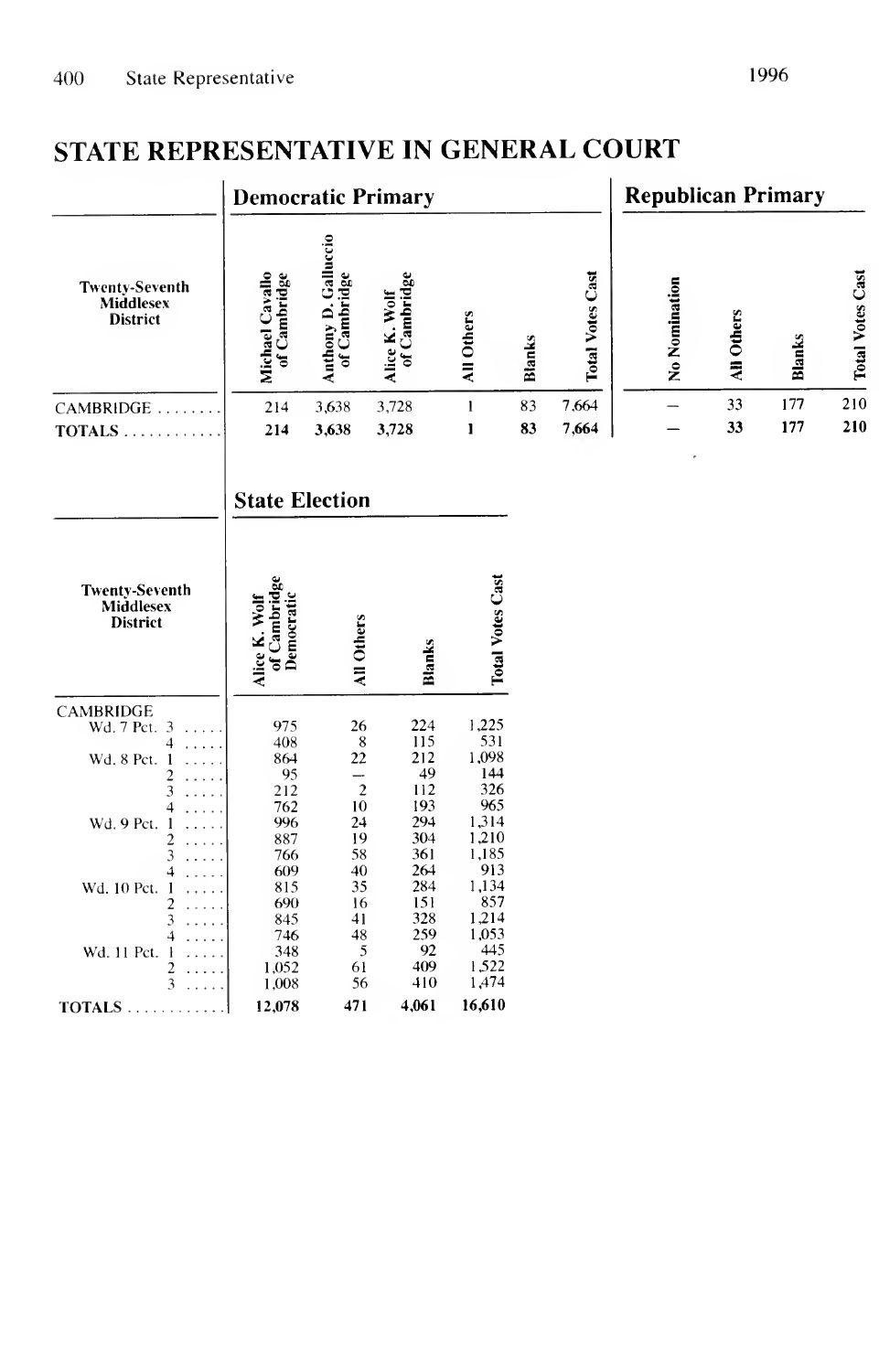|                                                                                             |                                                                                                   | <b>Democratic Primary</b>                                                            |                                                                                              |                                                                                                                |        |                         |  |               |                   | <b>Republican Primary</b> |                         |
|---------------------------------------------------------------------------------------------|---------------------------------------------------------------------------------------------------|--------------------------------------------------------------------------------------|----------------------------------------------------------------------------------------------|----------------------------------------------------------------------------------------------------------------|--------|-------------------------|--|---------------|-------------------|---------------------------|-------------------------|
| Twenty-Seventh<br>Middlesex<br><b>District</b>                                              | Michael Cavallo<br>of Cambridge                                                                   | Anthony D. Galluccio<br>of Cambridge                                                 | of Cambridge<br>Alice K. Wolf                                                                | All Others                                                                                                     | Blanks | <b>Total Votes Cast</b> |  | No Nomination | <b>All Others</b> | <b>Blanks</b>             | <b>Total Votes Cast</b> |
| CAMBRIDGE                                                                                   | 214                                                                                               | 3,638                                                                                | 3,728                                                                                        | $\mathbf{I}$                                                                                                   | 83     | 7,664                   |  |               | 33                | 177                       | 210                     |
| TOTALS                                                                                      | 214                                                                                               | 3,638                                                                                | 3,728                                                                                        | ı                                                                                                              | 83     | 7,664                   |  |               | 33                | 177                       | 210                     |
|                                                                                             | <b>State Election</b>                                                                             |                                                                                      |                                                                                              |                                                                                                                |        |                         |  |               |                   |                           |                         |
| <b>Twenty-Seventh</b><br>Middlesex<br><b>District</b>                                       | of Cambridge<br>Democratic<br>Alice K. Wolf                                                       | <b>All Others</b>                                                                    | <b>Blanks</b>                                                                                | <b>Total Votes Cast</b>                                                                                        |        |                         |  |               |                   |                           |                         |
| CAMBRIDGE<br>Wd. 7 Pct. 3                                                                   | 975                                                                                               | 26                                                                                   | 224                                                                                          | 1,225                                                                                                          |        |                         |  |               |                   |                           |                         |
| 4<br>Wd. 8 Pct. 1                                                                           | 408<br>864                                                                                        | $\,$ 8 $\,$<br>22                                                                    | 115<br>212                                                                                   | 531<br>1,098                                                                                                   |        |                         |  |               |                   |                           |                         |
| 2<br>3<br>4<br>Wd. 9 Pct.<br>3<br>4<br>Wd. 10 Pct. 1<br>3<br>Wd. 11 Pct. 1<br>$\frac{2}{3}$ | 95<br>212<br>762<br>996<br>887<br>766<br>609<br>815<br>690<br>845<br>746<br>348<br>1,052<br>1,008 | $\frac{1}{2}$<br>10<br>24<br>19<br>58<br>40<br>35<br>16<br>41<br>48<br>5<br>61<br>56 | 49<br>112<br>193<br>294<br>304<br>361<br>264<br>284<br>151<br>328<br>259<br>92<br>409<br>410 | 144<br>326<br>965<br>1,314<br>1,210<br>1,185<br>913<br>1,134<br>857<br>1,214<br>1,053<br>445<br>1,522<br>1,474 |        |                         |  |               |                   |                           |                         |
| TOTALS                                                                                      | 12,078                                                                                            | 471                                                                                  | 4,061                                                                                        | 16,610                                                                                                         |        |                         |  |               |                   |                           |                         |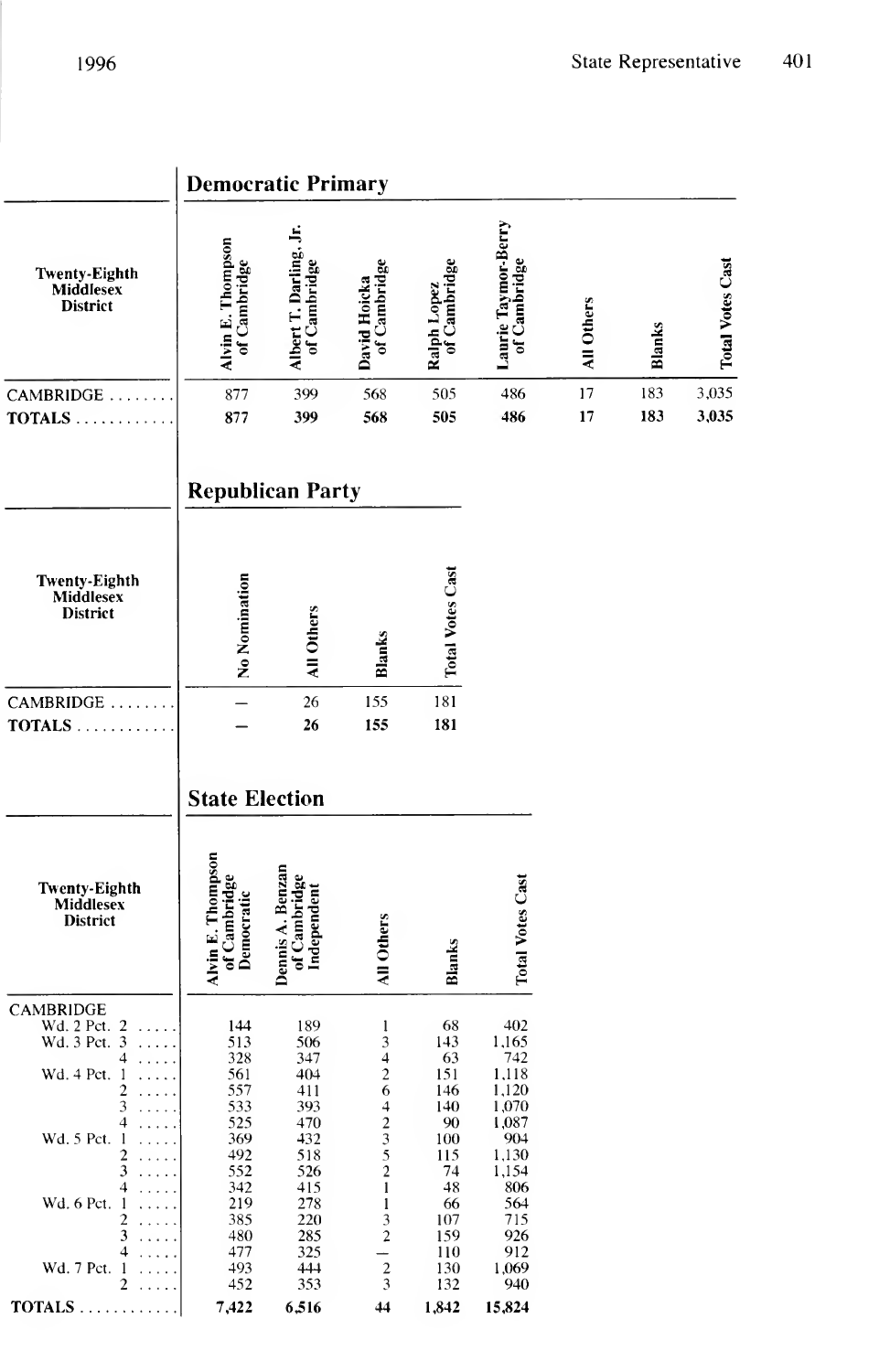|                                                                                                                                                                                                                | <b>Democratic Primary</b>                                                                                                    |                                                                                                                              |                                            |                                                                                                                        |                                                                                                                                               |                   |            |                         |
|----------------------------------------------------------------------------------------------------------------------------------------------------------------------------------------------------------------|------------------------------------------------------------------------------------------------------------------------------|------------------------------------------------------------------------------------------------------------------------------|--------------------------------------------|------------------------------------------------------------------------------------------------------------------------|-----------------------------------------------------------------------------------------------------------------------------------------------|-------------------|------------|-------------------------|
| <b>Twenty-Eighth</b><br><b>Middlesex</b><br><b>District</b>                                                                                                                                                    | Alvin E. Thompson<br>of Cambridge                                                                                            | Albert T. Darling, Jr.<br>of Cambridge                                                                                       | David Hoicka<br>of Cambridge               | Ralph Lopez<br>of Cambridge                                                                                            | Laurie Taymor-Berry<br>of Cambridge                                                                                                           | <b>All Others</b> | Blanks     | <b>Total Votes Cast</b> |
| CAMBRIDGE<br>TOTALS<br>$\ldots$ .                                                                                                                                                                              | 877<br>877                                                                                                                   | 399<br>399                                                                                                                   | 568<br>568                                 | 505<br>505                                                                                                             | 486<br>486                                                                                                                                    | 17<br>17          | 183<br>183 | 3,035<br>3,035          |
|                                                                                                                                                                                                                | <b>Republican Party</b>                                                                                                      |                                                                                                                              |                                            |                                                                                                                        |                                                                                                                                               |                   |            |                         |
| <b>Twenty-Eighth</b><br>Middlesex<br>District                                                                                                                                                                  | No Nomination                                                                                                                | <b>All Others</b>                                                                                                            | Blanks                                     | <b>Total Votes Cast</b>                                                                                                |                                                                                                                                               |                   |            |                         |
| CAMBRIDGE<br>TOTALS                                                                                                                                                                                            |                                                                                                                              | 26<br>26                                                                                                                     | 155<br>155                                 | 181<br>181                                                                                                             |                                                                                                                                               |                   |            |                         |
|                                                                                                                                                                                                                |                                                                                                                              |                                                                                                                              |                                            |                                                                                                                        |                                                                                                                                               |                   |            |                         |
|                                                                                                                                                                                                                | <b>State Election</b>                                                                                                        |                                                                                                                              |                                            |                                                                                                                        |                                                                                                                                               |                   |            |                         |
| Twenty-Eighth<br>Middlesex<br>District                                                                                                                                                                         | Alvin E. Thompson<br>of Cambridge<br>Democratic                                                                              | Dennis A. Benzan<br>of Cambridge<br>Independent                                                                              | <b>All Others</b>                          | Blanks                                                                                                                 | <b>Total Votes Cast</b>                                                                                                                       |                   |            |                         |
| <b>CAMBRIDGE</b><br>Wd. 2 Pct.<br>$\frac{2}{3}$<br>Wd. 3 Pct.<br>Wd. 4 Pct.<br>-1<br>2<br>3<br>4<br>Wd. 5 Pct. 1<br>2<br>3<br>4<br>Wd. 6 Pct.<br>-1<br>2<br>3<br>4<br>Wd. 7 Pct. 1<br>$\overline{c}$<br>TOTALS | 144<br>513<br>328<br>561<br>557<br>533<br>525<br>369<br>492<br>552<br>342<br>219<br>385<br>480<br>477<br>493<br>452<br>7.422 | 189<br>506<br>347<br>404<br>411<br>393<br>470<br>432<br>518<br>526<br>415<br>278<br>220<br>285<br>325<br>444<br>353<br>6.516 | $\mathbf{1}$<br>3426<br>423521132223<br>44 | 68<br>143<br>63<br>151<br>146<br>140<br>90<br>100<br>115<br>74<br>48<br>66<br>107<br>159<br>110<br>130<br>132<br>1.842 | 402<br>1,165<br>742<br>1,118<br>1,120<br>1,070<br>1,087<br>904<br>1,130<br>1,154<br>806<br>564<br>715<br>926<br>912<br>1,069<br>940<br>15.824 |                   |            |                         |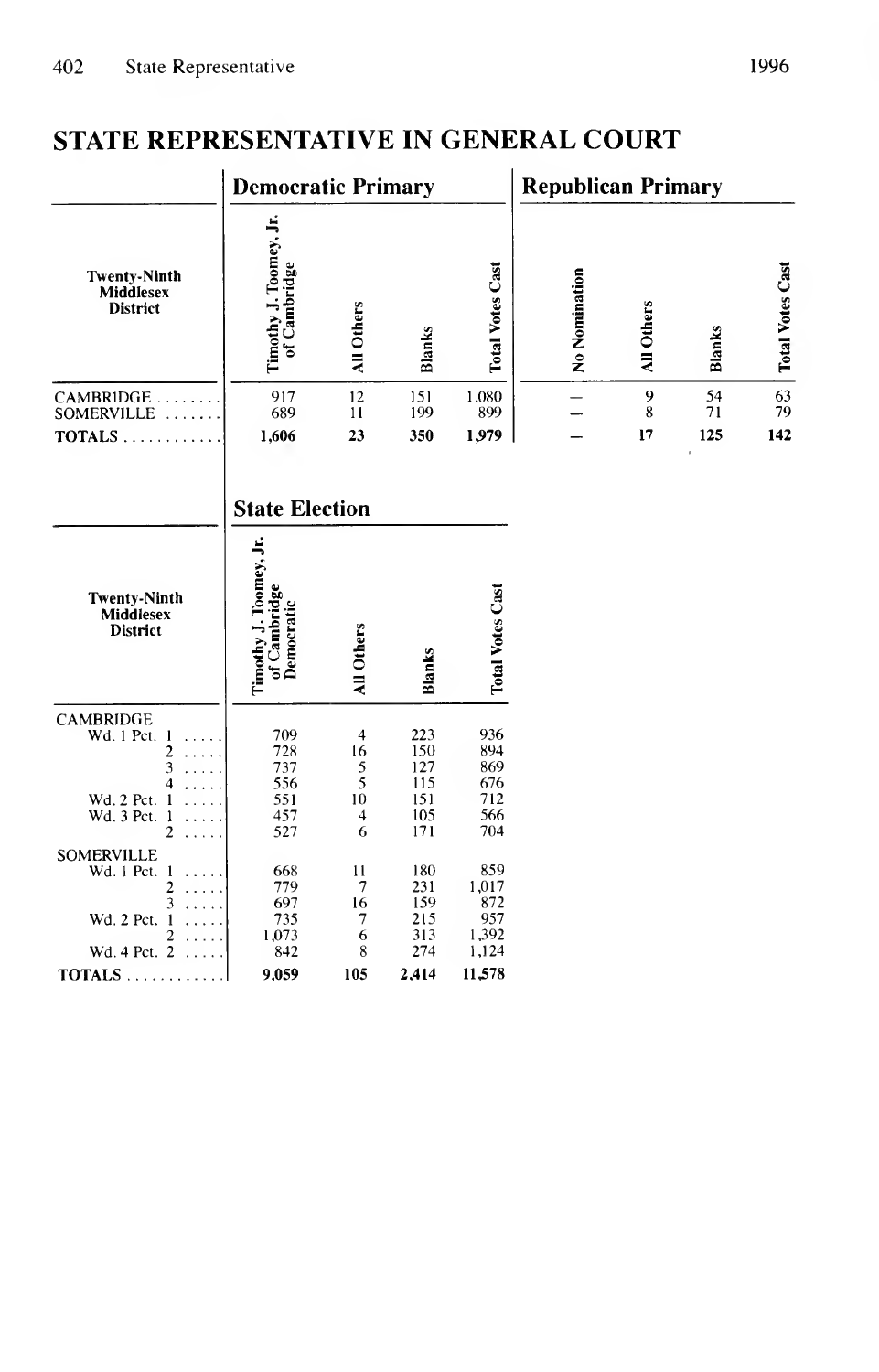|                                                      |                                                                      |                                               |                                               | <b>Republican Primary</b> |            |               |                         |  |
|------------------------------------------------------|----------------------------------------------------------------------|-----------------------------------------------|-----------------------------------------------|---------------------------|------------|---------------|-------------------------|--|
| Timothy J. Toomey, Jr.<br>of Cambridge               | All Others                                                           | Blanks                                        | <b>Total Votes Cast</b>                       | No Nomination             | All Others | <b>Blanks</b> | <b>Total Votes Cast</b> |  |
| 917                                                  | 12                                                                   | 151                                           | 1,080                                         |                           | 9          | 54            | 63<br>79                |  |
| 1,606                                                | 23                                                                   | 350                                           | 1,979                                         |                           | 17         | 125           | 142                     |  |
|                                                      |                                                                      |                                               |                                               |                           |            |               |                         |  |
| Timothy J. Toomey, Jr.<br>of Cambridge<br>Democratic | All Others                                                           | Blanks                                        | <b>Total Votes Cast</b>                       |                           |            |               |                         |  |
| 709<br>728<br>737<br>556<br>551<br>457<br>527        | $\overline{4}$<br>16<br>5<br>5<br>10<br>$\overline{\mathbf{4}}$<br>6 | 223<br>150<br>127<br>115<br>151<br>105<br>171 | 936<br>894<br>869<br>676<br>712<br>566<br>704 |                           |            |               |                         |  |
| 668<br>779<br>697<br>735<br>1,073<br>842             | 11<br>7<br>16<br>7<br>6<br>8<br>105                                  | 180<br>231<br>159<br>215<br>313<br>274        | 859<br>1,017<br>872<br>957<br>1,392<br>1,124  |                           |            |               |                         |  |
|                                                      | 689<br>9,059                                                         | 11<br><b>State Election</b>                   | <b>Democratic Primary</b><br>199<br>2,414     | 899<br>11,578             |            | $\bf 8$       | 71                      |  |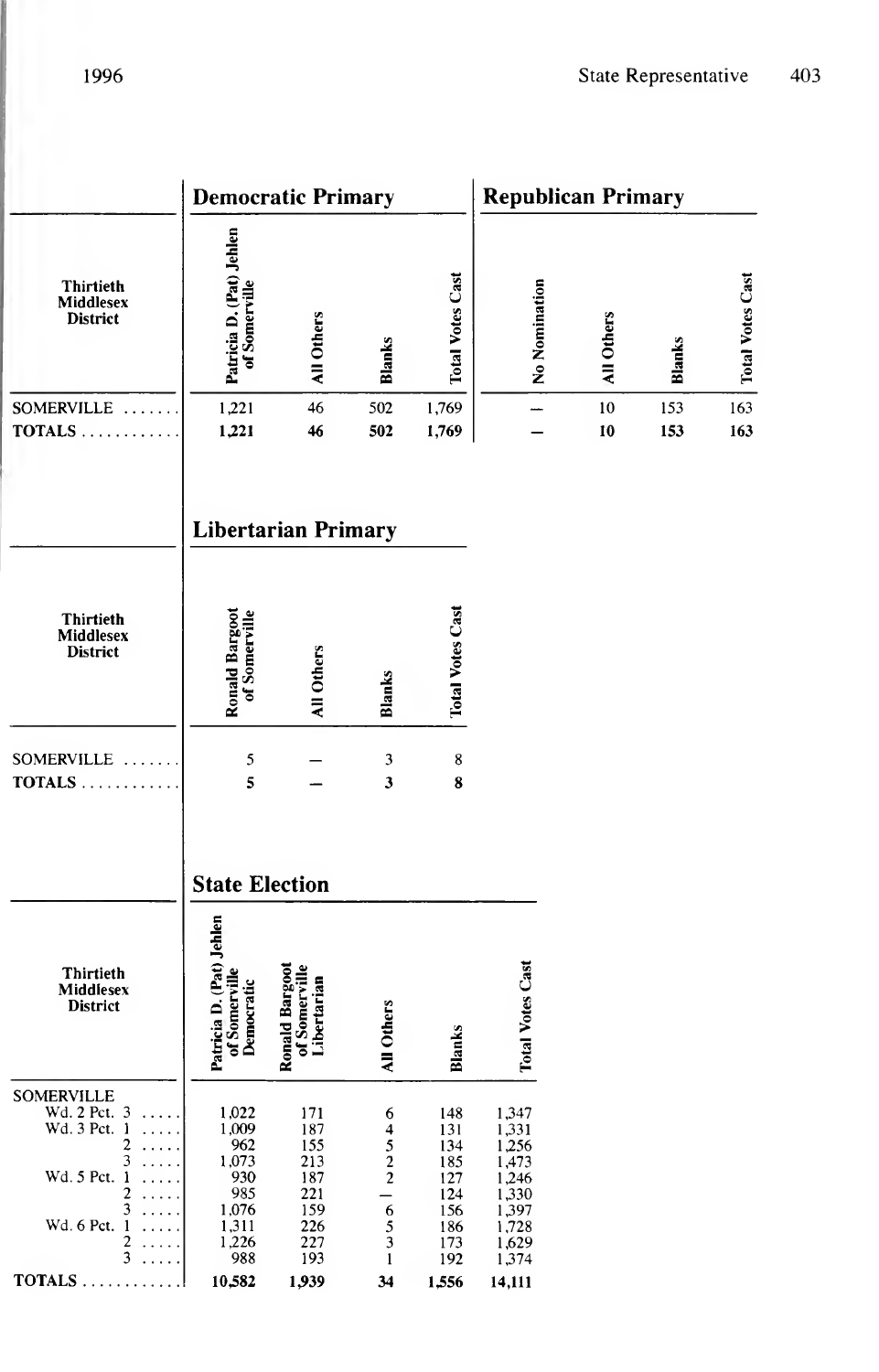|                                                                                                                             |                                                                                         | <b>Democratic Primary</b>                                                               |                |                                                                    | <b>Republican Primary</b>                                                              |            |            |                         |  |
|-----------------------------------------------------------------------------------------------------------------------------|-----------------------------------------------------------------------------------------|-----------------------------------------------------------------------------------------|----------------|--------------------------------------------------------------------|----------------------------------------------------------------------------------------|------------|------------|-------------------------|--|
| Thirtieth<br>Middlesex<br><b>District</b>                                                                                   | Patricia D. (Pat) Jehlen<br>of Somerville                                               | All Others                                                                              | Blanks         | <b>Total Votes Cast</b>                                            | No Nomination                                                                          | All Others | Blanks     | <b>Total Votes Cast</b> |  |
| <b>SOMERVILLE</b><br>$\ldots$ .<br>$TOTALS$                                                                                 | 1,221<br>1,221                                                                          | 46<br>46                                                                                | 502<br>502     | 1,769<br>1,769                                                     |                                                                                        | 10<br>10   | 153<br>153 | 163<br>163              |  |
|                                                                                                                             |                                                                                         | <b>Libertarian Primary</b>                                                              |                |                                                                    |                                                                                        |            |            |                         |  |
|                                                                                                                             |                                                                                         |                                                                                         |                |                                                                    |                                                                                        |            |            |                         |  |
| <b>Thirtieth</b><br>Middlesex<br><b>District</b>                                                                            | Ronald Bargoot<br>of Somerville                                                         | All Others                                                                              | Blanks         | <b>Total Votes Cast</b>                                            |                                                                                        |            |            |                         |  |
| SOMERVILLE                                                                                                                  | 5                                                                                       |                                                                                         | 3              | $\bf 8$                                                            |                                                                                        |            |            |                         |  |
| TOTALS                                                                                                                      | 5                                                                                       |                                                                                         | 3              | 8                                                                  |                                                                                        |            |            |                         |  |
|                                                                                                                             | <b>State Election</b>                                                                   |                                                                                         |                |                                                                    |                                                                                        |            |            |                         |  |
| <b>Thirtieth</b><br><b>Middlesex</b><br><b>District</b>                                                                     | Patricia D. (Pat) Jehlen<br>of Somerville<br>Democratic                                 | Ronald Bargoot<br>of Somerville<br>Libertarian                                          | All Others     | Blanks                                                             | <b>Total Votes Cast</b>                                                                |            |            |                         |  |
| <b>SOMERVILLE</b><br>Wd. 2 Pct. 3<br>Wd. 3 Pct.<br>$\mathbf{1}$<br>2<br>3<br>Wd. 5 Pct.<br>1<br>3<br>Wd. 6 Pct. 1<br>2<br>3 | 1,022<br>$1,009$<br>962<br>1,073<br>930<br>985<br>1,076<br>$\frac{1,311}{1,226}$<br>988 | 171<br>$\frac{187}{155}$<br>213<br>$\frac{187}{221}$<br>159<br>$\frac{226}{227}$<br>193 | $64522 - 6531$ | 148<br>131<br>134<br>185<br>127<br>124<br>156<br>186<br>173<br>192 | 1,347<br>1,331<br>1,256<br>1,473<br>1,246<br>1,330<br>1,397<br>1,728<br>1,629<br>1,374 |            |            |                         |  |
| TOTALS.                                                                                                                     | 10,582                                                                                  | 1,939                                                                                   | 34             | 1,556                                                              | 14,111                                                                                 |            |            |                         |  |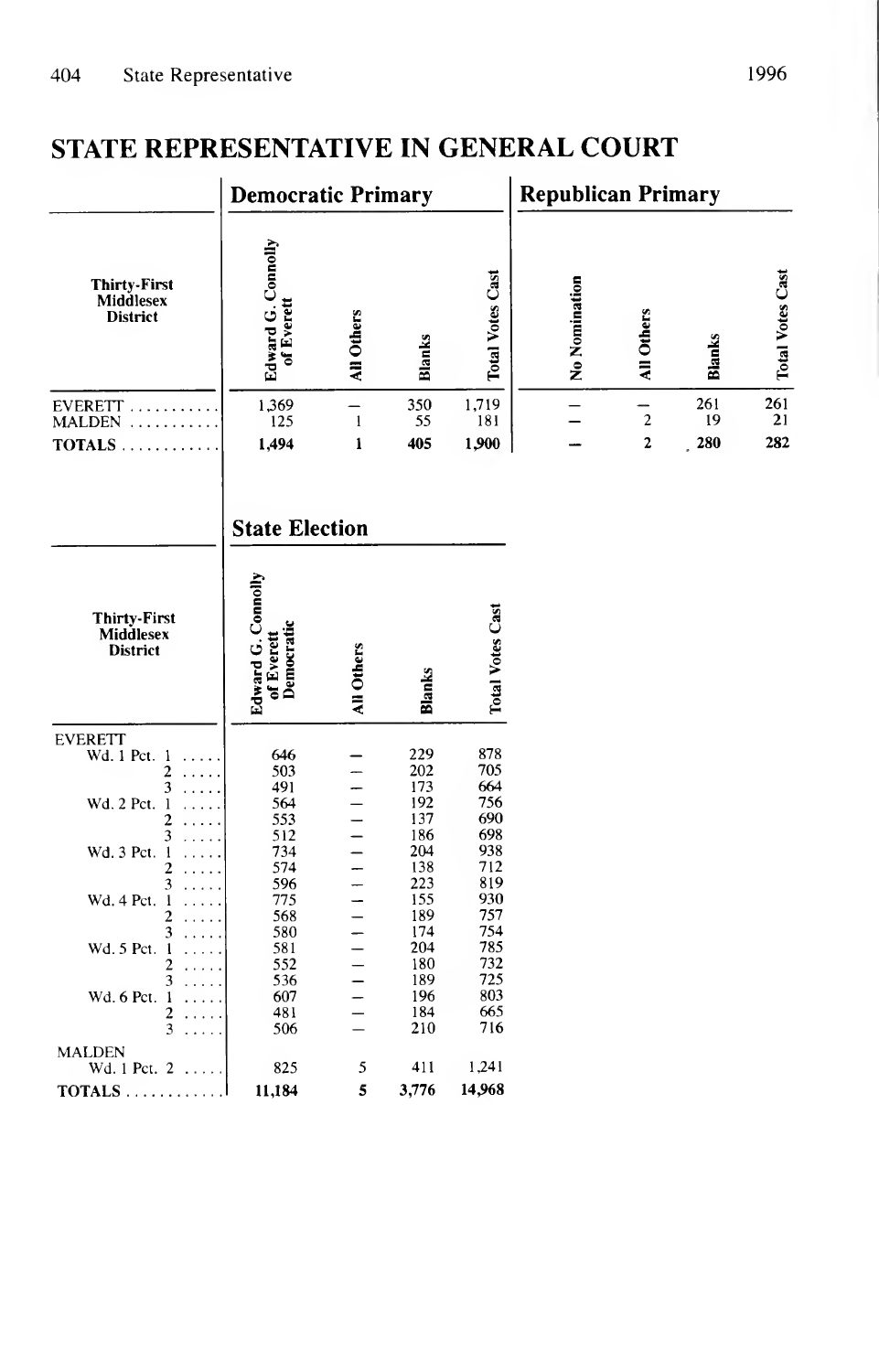|                                                     | <b>Democratic Primary</b>                             |                                                      |                                               |                                               | <b>Republican Primary</b> |                                 |                   |                         |  |  |
|-----------------------------------------------------|-------------------------------------------------------|------------------------------------------------------|-----------------------------------------------|-----------------------------------------------|---------------------------|---------------------------------|-------------------|-------------------------|--|--|
| <b>Thirty-First</b><br>Middlesex<br><b>District</b> | Edward G. Connolly<br>of Everett                      | All Others                                           | Blanks                                        | <b>Total Votes Cast</b>                       | No Nomination             | All Others                      | Blanks            | <b>Total Votes Cast</b> |  |  |
| EVERETT<br><b>MALDEN</b><br>TOTALS                  | 1,369<br>125<br>1,494                                 | $\pmb{\mathsf{l}}$<br>1                              | 350<br>55<br>405                              | 1,719<br>181<br>1,900                         |                           | $\frac{1}{2}$<br>$\overline{c}$ | 261<br>19<br>.280 | 261<br>21<br>282        |  |  |
|                                                     |                                                       |                                                      |                                               |                                               |                           |                                 |                   |                         |  |  |
|                                                     | <b>State Election</b>                                 |                                                      |                                               |                                               |                           |                                 |                   |                         |  |  |
| <b>Thirty-First</b><br>Middlesex<br><b>District</b> | <b>Edward G. Connolly</b><br>Democratic<br>of Everett | All Others                                           | <b>Blanks</b>                                 | <b>Total Votes Cast</b>                       |                           |                                 |                   |                         |  |  |
| <b>EVERETT</b><br>Wd. 1 Pct. 1                      | 646                                                   |                                                      | 229                                           | 878                                           |                           |                                 |                   |                         |  |  |
| $\overline{c}$<br>Wd. 2 Pct. 1<br>Wd. 3 Pct. 1      | 503<br>491<br>564<br>553<br>512<br>734<br>574         | $\overline{\phantom{a}}$<br>-                        | 202<br>173<br>192<br>137<br>186<br>204<br>138 | 705<br>664<br>756<br>690<br>698<br>938<br>712 |                           |                                 |                   |                         |  |  |
| Wd. 4 Pct. 1                                        | 596<br>775<br>568                                     |                                                      | 223<br>155<br>189                             | 819<br>930<br>757                             |                           |                                 |                   |                         |  |  |
| 3<br>Wd. 5 Pct. 1<br>2                              | 580<br>581<br>552                                     | $\overline{\phantom{a}}$                             | 174<br>204<br>180                             | 754<br>785<br>732                             |                           |                                 |                   |                         |  |  |
| 3<br>Wd. 6 Pct. 1<br>$\overline{\mathbf{c}}$<br>3   | 536<br>607<br>481<br>506                              | $\overline{\phantom{a}}$<br>$\overline{\phantom{0}}$ | 189<br>196<br>184<br>210                      | 725<br>803<br>665<br>716                      |                           |                                 |                   |                         |  |  |
| <b>MALDEN</b><br>Wd. 1 Pct. 2<br>$\ldots$           | 825                                                   | 5                                                    | 411                                           | 1,241                                         |                           |                                 |                   |                         |  |  |
| TOTALS.<br>$\ddot{\phantom{0}}$                     | 11,184                                                | 5                                                    | 3,776                                         | 14,968                                        |                           |                                 |                   |                         |  |  |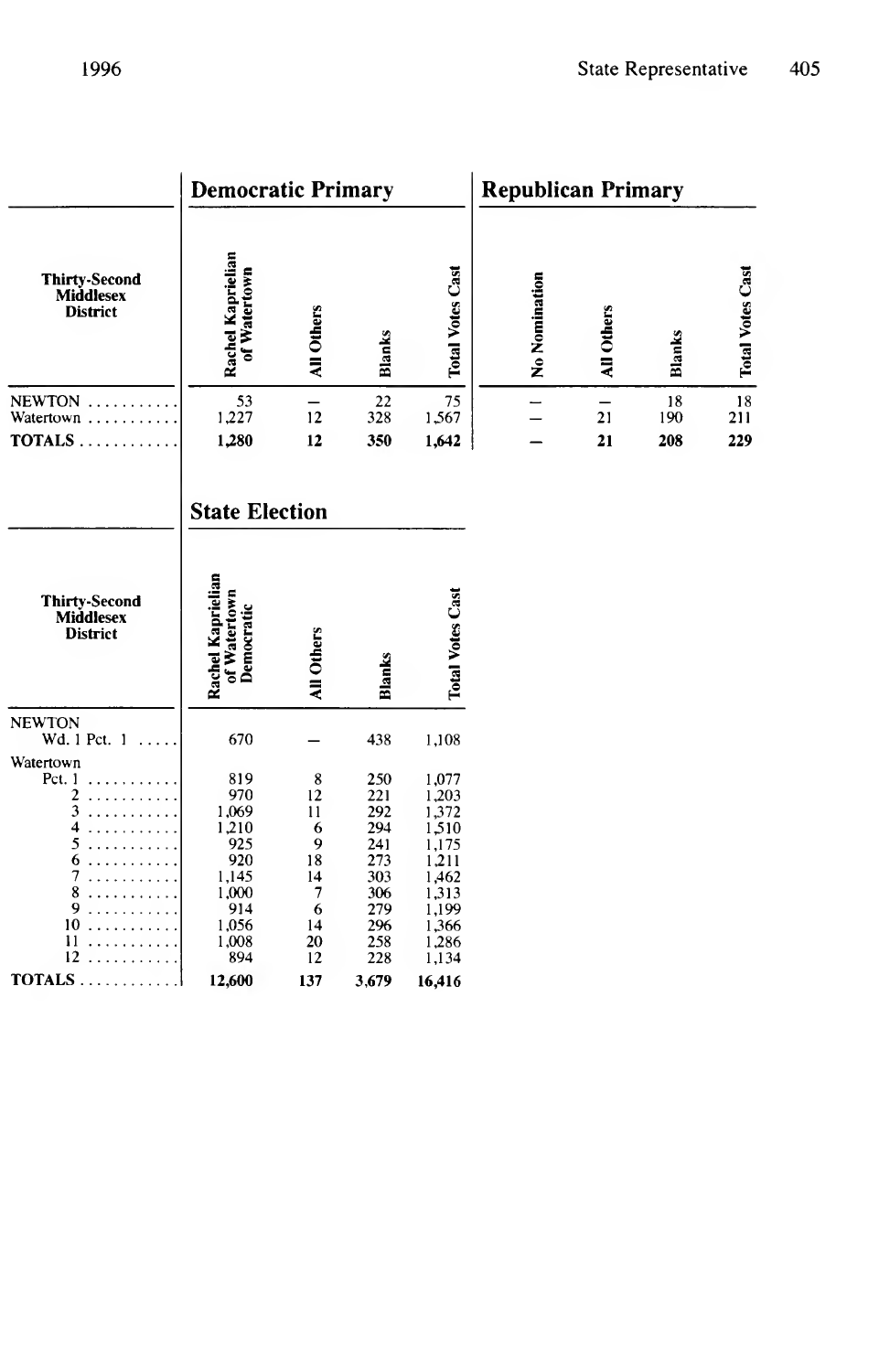$\overline{a}$ 

 $\overline{\phantom{a}}$ 

|                                                      | <b>Democratic Primary</b>                       |                          |               |                         |               |                                | <b>Republican Primary</b> |                         |  |  |  |  |  |
|------------------------------------------------------|-------------------------------------------------|--------------------------|---------------|-------------------------|---------------|--------------------------------|---------------------------|-------------------------|--|--|--|--|--|
| <b>Thirty-Second</b><br>Middlesex<br><b>District</b> | Rachel Kaprielian<br>of Watertown               | All Others               | Blanks        | <b>Total Votes Cast</b> | No Nomination | All Others                     | <b>Blanks</b>             | <b>Total Votes Cast</b> |  |  |  |  |  |
| $NEWTON$<br>Watertown                                | 53<br>1,227                                     | 12                       | 22<br>328     | 75<br>1,567             |               | $\overline{\phantom{0}}$<br>21 | 18<br>190                 | 18<br>211               |  |  |  |  |  |
| TOTALS                                               | 1,280                                           | 12                       | 350           | 1,642                   |               | 21                             | 208                       | 229                     |  |  |  |  |  |
|                                                      |                                                 |                          |               |                         |               |                                |                           |                         |  |  |  |  |  |
|                                                      | <b>State Election</b>                           |                          |               |                         |               |                                |                           |                         |  |  |  |  |  |
| <b>Thirty-Second</b><br>Middlesex<br><b>District</b> | Rachel Kaprielian<br>of Watertown<br>Democratic | <b>All Others</b>        | <b>Blanks</b> | <b>Total Votes Cast</b> |               |                                |                           |                         |  |  |  |  |  |
| NEWTON<br>Wd. 1 Pct. 1<br>$\ldots$                   | 670                                             |                          | 438           | 1,108                   |               |                                |                           |                         |  |  |  |  |  |
| Watertown                                            |                                                 |                          |               |                         |               |                                |                           |                         |  |  |  |  |  |
| Pct. 1                                               | 819                                             | 8                        | 250           | 1,077                   |               |                                |                           |                         |  |  |  |  |  |
|                                                      | 970                                             | 12                       | 221           | 1,203                   |               |                                |                           |                         |  |  |  |  |  |
| 3                                                    | 1,069                                           | 11                       | 292           | 1,372                   |               |                                |                           |                         |  |  |  |  |  |
| 5                                                    | 1,210<br>925                                    | 6<br>9                   | 294<br>241    | 1,510                   |               |                                |                           |                         |  |  |  |  |  |
| 6                                                    | 920                                             | 18                       | 273           | 1,175<br>1,211          |               |                                |                           |                         |  |  |  |  |  |
| 7                                                    | 1,145                                           | 14                       | 303           | 1,462                   |               |                                |                           |                         |  |  |  |  |  |
| 8<br>.                                               | 1,000                                           | $\overline{\phantom{a}}$ | 306           | 1,313                   |               |                                |                           |                         |  |  |  |  |  |
| 9<br>.                                               | 914                                             | 6                        | 279           | 1,199                   |               |                                |                           |                         |  |  |  |  |  |
| 10<br>. <b>.</b> .                                   | 1,056                                           | 14                       | 296           | 1,366                   |               |                                |                           |                         |  |  |  |  |  |
| 11<br>.                                              | 1,008                                           | 20                       | 258           | 1,286                   |               |                                |                           |                         |  |  |  |  |  |
| 12                                                   | 894                                             | 12                       | 228           | 1,134                   |               |                                |                           |                         |  |  |  |  |  |
| $\textbf{TOTALS} \dots \dots$                        | 12,600                                          | 137                      | 3,679         | 16,416                  |               |                                |                           |                         |  |  |  |  |  |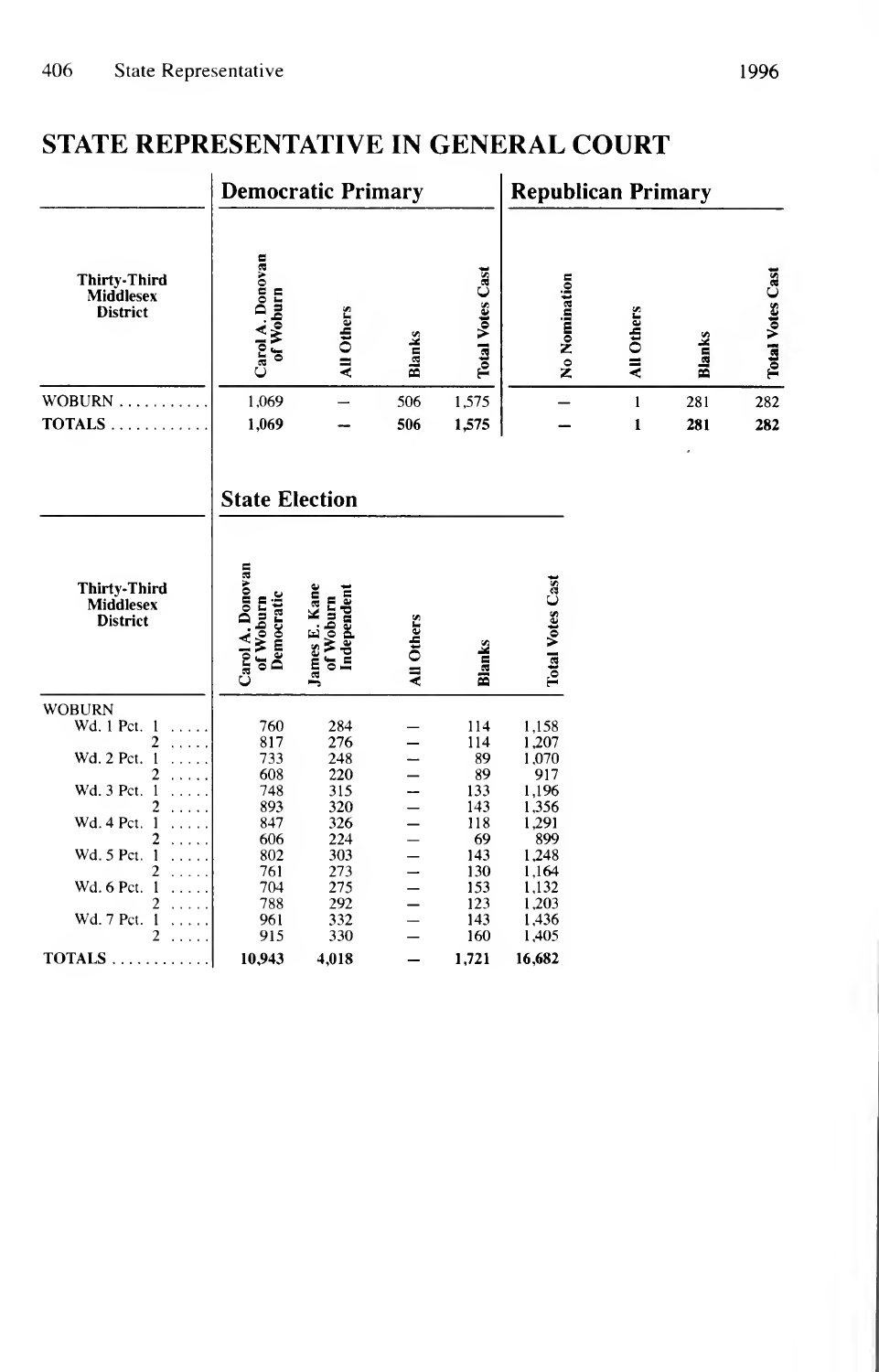|                                                                                                                                                                               |                                                                                                          | <b>Democratic Primary</b>                                                                               |                          |                                                                                                      | <b>Republican Primary</b>                                                                                                        |                   |               |                         |  |
|-------------------------------------------------------------------------------------------------------------------------------------------------------------------------------|----------------------------------------------------------------------------------------------------------|---------------------------------------------------------------------------------------------------------|--------------------------|------------------------------------------------------------------------------------------------------|----------------------------------------------------------------------------------------------------------------------------------|-------------------|---------------|-------------------------|--|
| Thirty-Third<br>Middlesex<br><b>District</b>                                                                                                                                  | Carol A. Donovan<br>of Woburn                                                                            | <b>All Others</b>                                                                                       | Blanks                   | <b>Total Votes Cast</b>                                                                              | No Nomination                                                                                                                    | <b>All Others</b> | <b>Blanks</b> | <b>Total Votes Cast</b> |  |
| $WOBURN$                                                                                                                                                                      | 1,069                                                                                                    |                                                                                                         | 506                      | 1,575                                                                                                |                                                                                                                                  | $\mathbf{1}$      | 281           | 282                     |  |
| $TOTALS$                                                                                                                                                                      | 1,069                                                                                                    |                                                                                                         | 506                      | 1,575                                                                                                |                                                                                                                                  | $\mathbf{1}$      | 281           | 282                     |  |
| <b>Thirty-Third</b><br>Middlesex<br><b>District</b>                                                                                                                           | <b>State Election</b><br>Carol A. Donovan<br>Democratic<br>of Woburn                                     | James E. Kane<br>Independent<br>of Woburn                                                               | <b>All Others</b>        | Blanks                                                                                               | <b>Total Votes Cast</b>                                                                                                          |                   |               |                         |  |
| <b>WOBURN</b><br>Wd. 1 Pct. 1<br>2<br>Wd. 2 Pct. 1<br>2<br>Wd. 3 Pct.<br>$\mathbf{1}$<br>Wd. 4 Pct. 1<br>Wd. 5 Pct.<br>-1<br>2<br>Wd. 6 Pct. 1<br>Wd. 7 Pct. 1<br>2<br>TOTALS | 760<br>817<br>733<br>608<br>748<br>893<br>847<br>606<br>802<br>761<br>704<br>788<br>961<br>915<br>10.943 | 284<br>276<br>248<br>220<br>315<br>320<br>326<br>224<br>303<br>273<br>275<br>292<br>332<br>330<br>4,018 | $\overline{\phantom{0}}$ | 114<br>114<br>89<br>89<br>133<br>143<br>118<br>69<br>143<br>130<br>153<br>123<br>143<br>160<br>1,721 | 1,158<br>1,207<br>1,070<br>917<br>1,196<br>1,356<br>1,291<br>899<br>1.248<br>1,164<br>1,132<br>1,203<br>1,436<br>1,405<br>16,682 |                   |               |                         |  |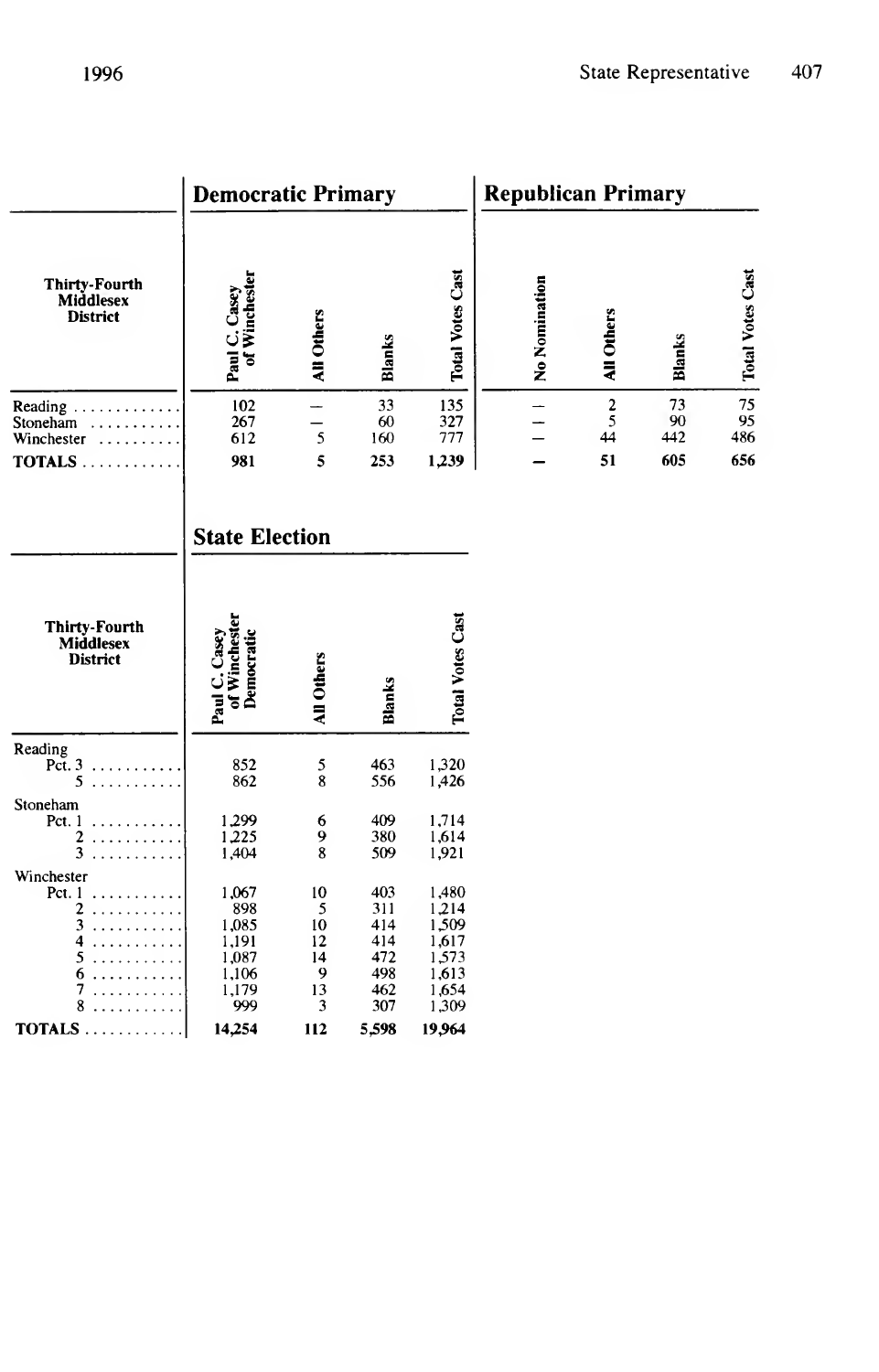|                                                                                | <b>Democratic Primary</b>                                                  |                                                  |                                                               |                                                                                | <b>Republican Primary</b> |                              |                        |                         |
|--------------------------------------------------------------------------------|----------------------------------------------------------------------------|--------------------------------------------------|---------------------------------------------------------------|--------------------------------------------------------------------------------|---------------------------|------------------------------|------------------------|-------------------------|
| <b>Thirty-Fourth</b><br>Middlesex<br><b>District</b>                           | of Winchester<br>Paul C. Casey                                             | All Others                                       | Blanks                                                        | <b>Total Votes Cast</b>                                                        | No Nomination             | <b>All Others</b>            | <b>Blanks</b>          | <b>Total Votes Cast</b> |
| Reading<br>Stoneham<br><u>.</u><br>Winchester<br><b>TOTALS</b>                 | 102<br>267<br>612<br>981                                                   | 5<br>5                                           | 33<br>60<br>160<br>253                                        | 135<br>327<br>777<br>1,239                                                     | ∸                         | $\mathbf 2$<br>5<br>44<br>51 | 73<br>90<br>442<br>605 | 75<br>95<br>486<br>656  |
|                                                                                | <b>State Election</b>                                                      |                                                  |                                                               |                                                                                |                           |                              |                        |                         |
| Thirty-Fourth<br>Middlesex<br><b>District</b>                                  | of Winchester<br>Paul C. Casey<br>Democratic                               | <b>All Others</b>                                | Blanks                                                        | <b>Total Votes Cast</b>                                                        |                           |                              |                        |                         |
| Reading<br>Pct. 3<br>5                                                         | 852<br>862                                                                 | 5<br>8                                           | 463<br>556                                                    | 1,320<br>1,426                                                                 |                           |                              |                        |                         |
| Stoneham<br>Pct. 1<br>2<br>3                                                   | 1.299<br>1.225<br>1,404                                                    | 6<br>9<br>8                                      | 409<br>380<br>509                                             | 1,714<br>1,614<br>1,921                                                        |                           |                              |                        |                         |
| Winchester<br>Pct. 1<br>$\overline{c}$<br>3<br>4<br>5<br>6<br>7<br>8<br>TOTALS | 1,067<br>898<br>1,085<br>1,191<br>1,087<br>1,106<br>1,179<br>999<br>14,254 | 10<br>5<br>10<br>12<br>14<br>9<br>13<br>3<br>112 | 403<br>311<br>414<br>414<br>472<br>498<br>462<br>307<br>5,598 | 1,480<br>1,214<br>1,509<br>1,617<br>1,573<br>1,613<br>1,654<br>1,309<br>19,964 |                           |                              |                        |                         |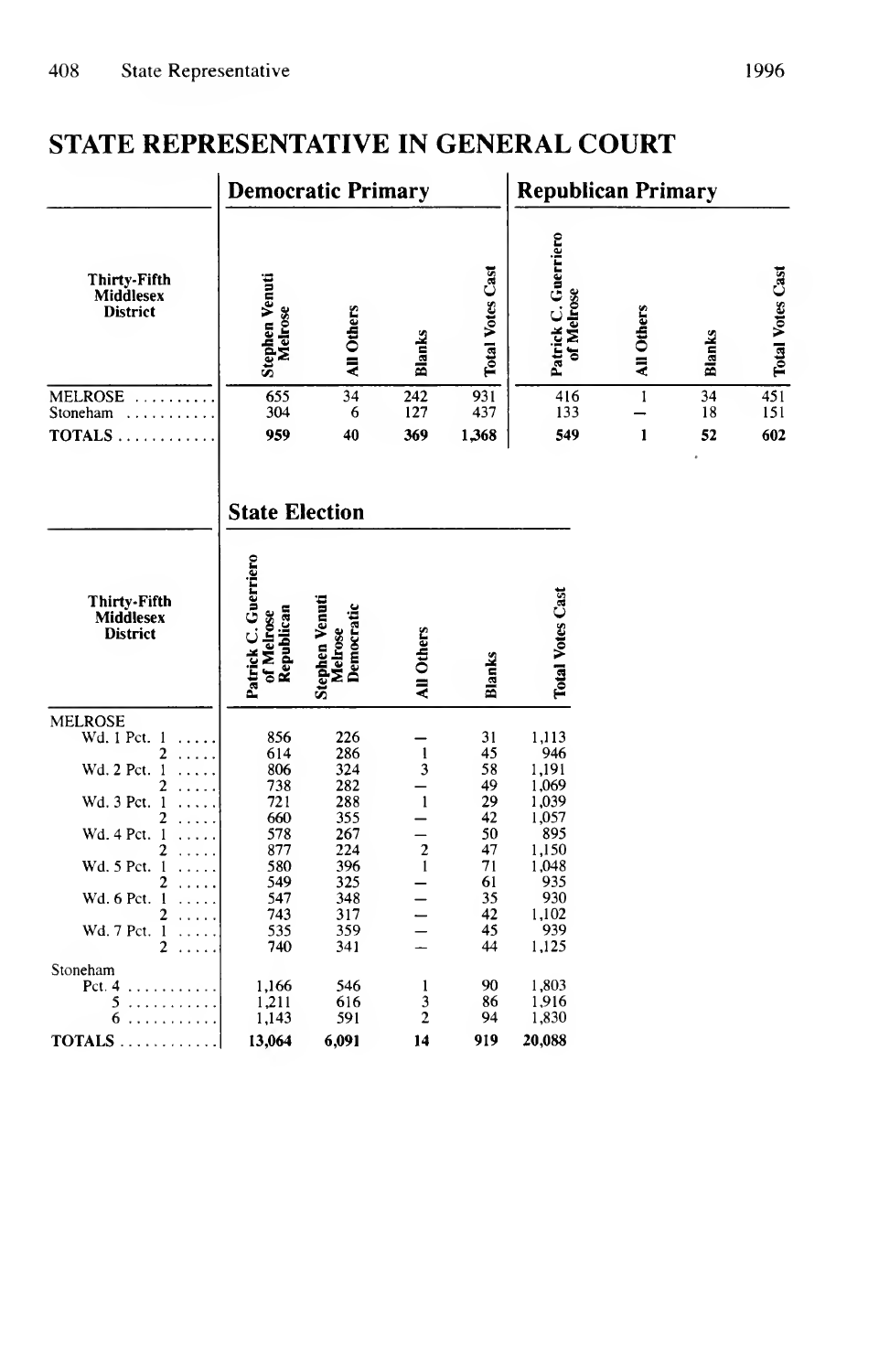|                                              |                                                  | <b>Democratic Primary</b>                      |                        |                         | <b>Republican Primary</b>          |              |          |                         |  |
|----------------------------------------------|--------------------------------------------------|------------------------------------------------|------------------------|-------------------------|------------------------------------|--------------|----------|-------------------------|--|
| Thirty-Fifth<br>Middlesex<br><b>District</b> | <b>Stephen Venuti</b><br>Melrose                 | All Others                                     | Blanks                 | <b>Total Votes Cast</b> | Patrick C. Guerriero<br>of Melrose | All Others   | Blanks   | <b>Total Votes Cast</b> |  |
| MELROSE<br>Stoneham<br>.                     | 655<br>304                                       | 34<br>6                                        | 242<br>$\frac{7}{127}$ | $\frac{931}{437}$       | 416<br>133                         | $\,$ I       | 34<br>18 | $\overline{451}$<br>151 |  |
| TOTALS                                       | 959                                              | 40                                             | 369                    | 1,368                   | 549                                | $\mathbf{1}$ | 52       | 602                     |  |
|                                              | <b>State Election</b>                            |                                                |                        |                         |                                    |              |          |                         |  |
| Thirty-Fifth<br>Middlesex<br><b>District</b> | Patrick C. Guerriero<br>Republican<br>of Melrose | <b>Stephen Venuti</b><br>Democratic<br>Melrose | All Others             | Blanks                  | <b>Total Votes Cast</b>            |              |          |                         |  |
| <b>MELROSE</b><br>Wd. 1 Pct. 1               | 856                                              | 226                                            |                        | 31                      | 1,113                              |              |          |                         |  |
| 2<br>Wd. 2 Pct.<br>$\mathbf{1}$              | 614<br>806                                       | 286<br>324                                     | $\frac{1}{3}$          | 45<br>58                | 946<br>1,191                       |              |          |                         |  |
| 2<br>Wd. 3 Pct. 1                            | 738<br>721                                       | 282<br>288                                     | $\mathbf{1}$           | 49<br>29                | 1,069<br>1,039                     |              |          |                         |  |
|                                              | 660                                              | 355                                            |                        | 42                      | 1,057                              |              |          |                         |  |
| Wd. 4 Pct.<br>$\mathbf{I}$<br>2              | 578<br>877                                       | 267<br>224                                     | $\frac{2}{1}$          | 50<br>47                | 895<br>1,150                       |              |          |                         |  |
| Wd. 5 Pct. 1                                 | 580<br>549                                       | 396<br>325                                     |                        | 71<br>61                | 1,048<br>935                       |              |          |                         |  |
| Wd. 6 Pct.<br>1                              | 547<br>743                                       | 348<br>317                                     |                        | 35<br>42                | 930<br>1,102                       |              |          |                         |  |
| Wd. 7 Pct. 1                                 | 535<br>740                                       | 359<br>341                                     |                        | 45<br>44                | 939<br>1,125                       |              |          |                         |  |
| Stoneham                                     |                                                  |                                                |                        |                         |                                    |              |          |                         |  |
| Pct. 4<br>5                                  | 1,166<br>1,211                                   | 546<br>616                                     | 1<br>$\frac{3}{2}$     | 90<br>86                | 1.803<br>1,916                     |              |          |                         |  |
| 6<br><b>TOTALS</b>                           | 1,143<br>13,064                                  | 591<br>6,091                                   | 14                     | 94<br>919               | 1,830<br>20,088                    |              |          |                         |  |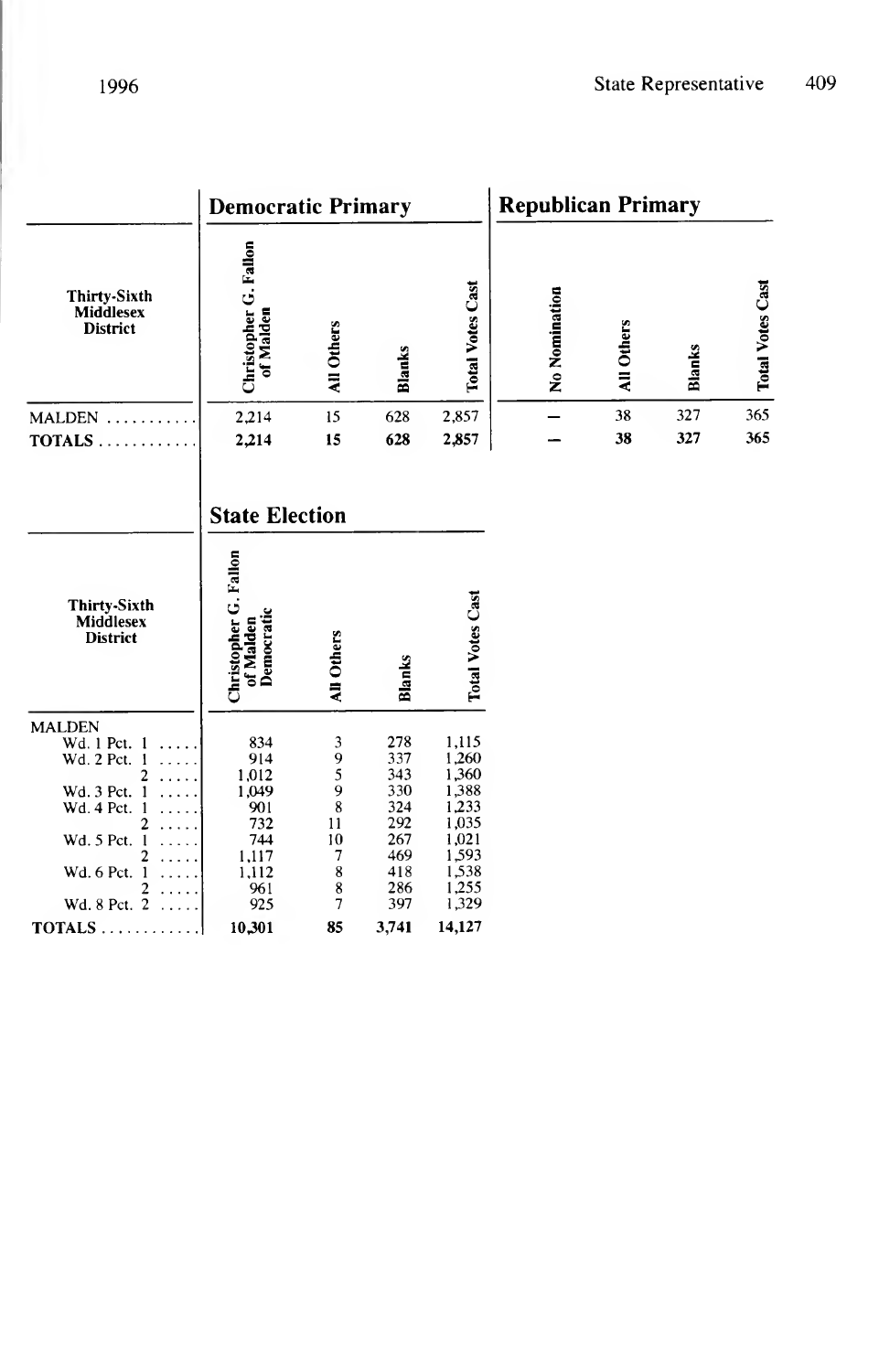|  | ł |  |
|--|---|--|
|--|---|--|

|                                                                                                                                                                                 | <b>Democratic Primary</b>                                                                   |                                                                        | <b>Republican Primary</b>                                                          |                                                                                                               |               |            |               |                         |
|---------------------------------------------------------------------------------------------------------------------------------------------------------------------------------|---------------------------------------------------------------------------------------------|------------------------------------------------------------------------|------------------------------------------------------------------------------------|---------------------------------------------------------------------------------------------------------------|---------------|------------|---------------|-------------------------|
| <b>Thirty-Sixth</b><br><b>Middlesex</b><br><b>District</b>                                                                                                                      | Christopher G. Fallon<br>of Malden                                                          | All Others                                                             | Blanks                                                                             | <b>Total Votes Cast</b>                                                                                       | No Nomination | All Others | <b>Blanks</b> | <b>Total Votes Cast</b> |
| MALDEN                                                                                                                                                                          | 2,214                                                                                       | 15                                                                     | 628                                                                                | 2,857                                                                                                         |               | 38         | 327           | 365                     |
| <b>TOTALS.</b>                                                                                                                                                                  | 2,214<br><b>State Election</b>                                                              | 15                                                                     | 628                                                                                | 2,857                                                                                                         |               | 38         | 327           | 365                     |
| <b>Thirty-Sixth</b><br>Middlesex<br><b>District</b>                                                                                                                             | Christopher G. Fallon<br>Democratic<br>of Malden                                            | <b>All Others</b>                                                      | Blanks                                                                             | <b>Total Votes Cast</b>                                                                                       |               |            |               |                         |
| <b>MALDEN</b><br>Wd. 1 Pct. 1<br>Wd. 2 Pct.<br>$\overline{2}$<br>Wd. 3 Pct.<br>1<br>Wd. 4 Pct.<br>ı<br>Wd. 5 Pct.<br>Wd. 6 Pct.<br>1<br>2<br>Wd. 8 Pct. 2<br>$\sim$<br>$TOTALS$ | 834<br>914<br>1,012<br>1,049<br>901<br>732<br>744<br>1,117<br>1,112<br>961<br>925<br>10.301 | 3<br>9<br>5<br>9<br>8<br>11<br>10<br>7<br>$\bf 8$<br>$\bf8$<br>7<br>85 | 278<br>337<br>343<br>330<br>324<br>292<br>267<br>469<br>418<br>286<br>397<br>3,741 | 1,115<br>1,260<br>1,360<br>1,388<br>1,233<br>1,035<br>$1,021$<br>$1,593$<br>1,538<br>1,255<br>1,329<br>14,127 |               |            |               |                         |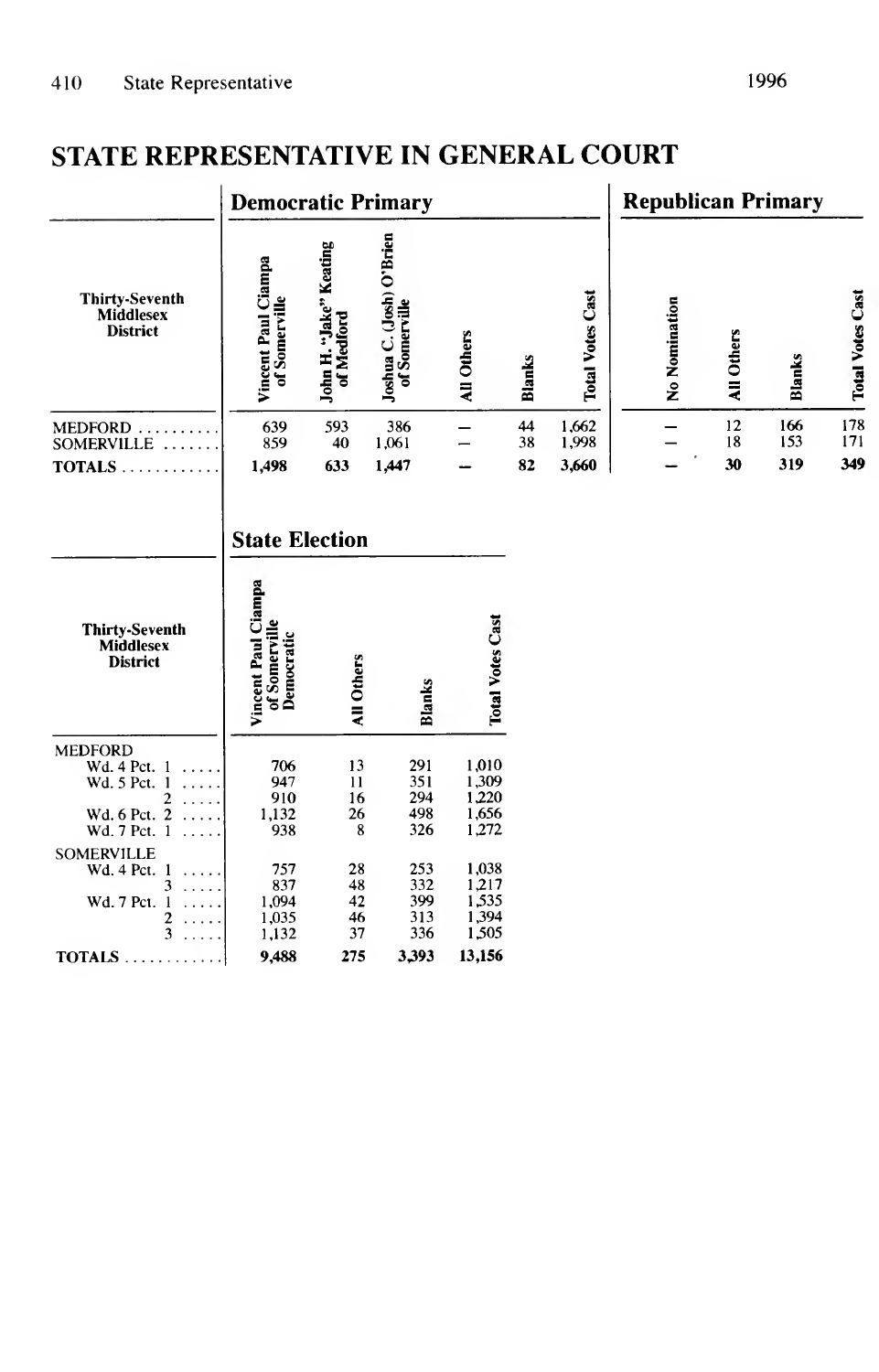|                                                                                                                | <b>Democratic Primary</b>                          | <b>Republican Primary</b>            |                                           |                                           |          |                         |               |            |               |                         |
|----------------------------------------------------------------------------------------------------------------|----------------------------------------------------|--------------------------------------|-------------------------------------------|-------------------------------------------|----------|-------------------------|---------------|------------|---------------|-------------------------|
| <b>Thirty-Seventh</b><br><b>Middlesex</b><br><b>District</b>                                                   | Vincent Paul Ciampa<br>of Somerville               | John H. "Jake" Keating<br>of Medford | Joshua C. (Josh) O'Brien<br>of Somerville | All Others                                | Blanks   | <b>Total Votes Cast</b> | No Nomination | All Others | <b>Blanks</b> | <b>Total Votes Cast</b> |
| MEDFORD<br>SOMERVILLE                                                                                          | 639<br>859                                         | 593<br>40                            | 386<br>1,061                              |                                           | 44<br>38 | 1.662<br>1,998          | —             | 12<br>18   | 166<br>153    | 178<br>171              |
| $TOTALS$                                                                                                       | 1,498                                              | 633                                  | 1,447                                     |                                           | 82       | 3,660                   |               | 30         | 319           | 349                     |
|                                                                                                                | <b>State Election</b>                              |                                      |                                           |                                           |          |                         |               |            |               |                         |
| <b>Thirty-Seventh</b><br><b>Middlesex</b><br><b>District</b>                                                   | Vincent Paul Ciampa<br>of Somerville<br>Democratic | <b>All Others</b>                    | Blanks                                    | <b>Total Votes Cast</b>                   |          |                         |               |            |               |                         |
| <b>MEDFORD</b><br>Wd. 4 Pct. 1<br>Wd. 5 Pct.<br>$\overline{c}$<br>$\overline{2}$<br>Wd. 6 Pct.<br>Wd. 7 Pct. 1 | 706<br>947<br>910<br>1,132<br>938                  | 13<br>11<br>16<br>26<br>8            | 291<br>351<br>294<br>498<br>326           | 1,010<br>1,309<br>1,220<br>1,656<br>1,272 |          |                         |               |            |               |                         |
| <b>SOMERVILLE</b><br>Wd. 4 Pct. 1<br>3<br>$\ldots$ .<br>Wd. 7 Pct. 1<br>$\ldots$<br>$\frac{2}{3}$<br>.         | 757<br>837<br>1,094<br>1,035<br>1,132              | 28<br>48<br>42<br>46<br>37           | 253<br>332<br>399<br>313<br>336           | 1,038<br>1,217<br>1,535<br>1,394<br>1,505 |          |                         |               |            |               |                         |
| TOTALS                                                                                                         | 9,488                                              | 275                                  | 3,393                                     | 13,156                                    |          |                         |               |            |               |                         |